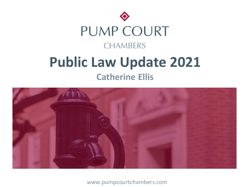



www.pumpcourtchambers.com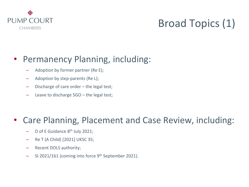

# Broad Topics (1)

### • Permanency Planning, including:

- Adoption by former partner (Re E);
- Adoption by step-parents (Re L);
- Discharge of care order the legal test;
- Leave to discharge SGO the legal test;

### • Care Planning, Placement and Case Review, including:

- $-$  D of E Guidance  $8<sup>th</sup>$  July 2021;
- Re T (A Child) [2021] UKSC 35;
- Recent DOLS authority;
- SI 2021/161 (coming into force 9<sup>th</sup> September 2021).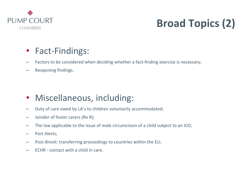

# **Broad Topics (2)**

### • Fact-Findings:

- Factors to be considered when deciding whether a fact-finding exercise is necessary;
- Reopening findings.

### • Miscellaneous, including:

- Duty of care owed by LA's to children voluntarily accommodated;
- Joinder of foster carers (Re R);
- The law applicable to the issue of male circumcision of a child subject to an ICO;
- Port Alerts;
- Post-Brexit: transferring proceedings to countries within the EU;
- ECHR contact with a child in care.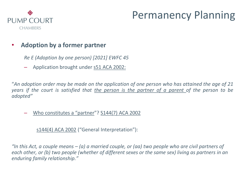

# Permanency Planning

### • **Adoption by a former partner**

*Re E (Adoption by one person) [2021] EWFC 45*

– Application brought under s51 ACA 2002:

"An adoption order may be made on the application of one person who has attained the age of 21 years if the court is satisfied that the person is the partner of a parent of the person to be *adopted"*

– Who constitutes a "partner"? S144(7) ACA 2002

s144(4) ACA 2002 ("General Interpretation"):

*"In this Act, a couple means – (a) a married couple, or (aa) two people who are civil partners of each other, or (b) two people (whether of different sexes or the same sex) living as partners in an enduring family relationship."*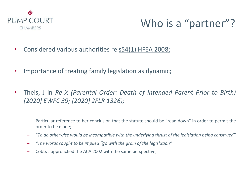

# Who is a "partner"?

- Considered various authorities re s54(1) HFEA 2008;
- Importance of treating family legislation as dynamic;
- Theis, J in *Re X (Parental Order: Death of Intended Parent Prior to Birth) [2020] EWFC 39; [2020] 2FLR 1326);*
	- Particular reference to her conclusion that the statute should be "read down" in order to permit the order to be made;
	- "*To do otherwise would be incompatible with the underlying thrust of the legislation being construed"*
	- *"The words sought to be implied "go with the grain of the legislation"*
	- Cobb, J approached the ACA 2002 with the same perspective;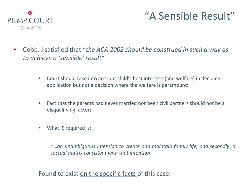

## "A Sensible Result"

- Cobb, J satisfied that "*the ACA 2002 should be construed in such a way as to achieve a 'sensible' result"*
	- Court should take into account child's best interests (and welfare) in deciding application but not a decision where the welfare is paramount;
	- Fact that the parents had never married nor been civil partners should not be a disqualifying factor;
	- What IS required is:

"…*an unambiguous intention to create and maintain family life, and secondly, a factual matrix consistent with that intention"*

Found to exist on the specific facts of this case.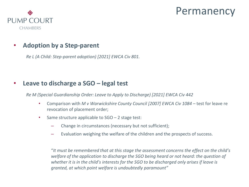### Permanency



### • **Adoption by a Step-parent**

*Re L (A Child: Step-parent adoption) [2021] EWCA Civ 801.*

### • **Leave to discharge a SGO – legal test**

*Re M (Special Guardianship Order: Leave to Apply to Discharge) [2021] EWCA Civ 442*

- Comparison with *M v Warwickshire County Council [2007] EWCA Civ 1084* test for leave re revocation of placement order;
- Same structure applicable to SGO 2 stage test:
	- Change in circumstances (necessary but not sufficient);
	- Evaluation weighing the welfare of the children and the prospects of success.

"*It must be remembered that at this stage the assessment concerns the effect on the child's welfare of the application to discharge the SGO being heard or not heard: the question of whether it is in the child's interests for the SGO to be discharged only arises if leave is granted, at which point welfare is undoubtedly paramount"*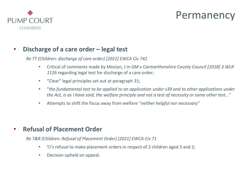

### Permanency

#### • **Discharge of a care order – legal test**

*Re TT (Children: discharge of care order) [2021] EWCA Civ 742*

- Critical of comments made by Mostyn, J in *GM v Carmarthenshire County Council [2018] 3 WLR 1126* regarding legal test for discharge of a care order;
- "Clear" legal principles set out at paragraph 31;
- "*the fundamental test to be applied to an application under s39 and to other applications under the Act, is as I have said, the welfare principle and not a test of necessity or some other test…"*
- Attempts to shift the focus away from welfare "*neither helpful nor necessary"*

### • **Refusal of Placement Order**

*Re T&R (Children: Refusal of Placement Order) [2021] EWCA Civ 71*

- TJ's refusal to make placement orders in respect of 2 children aged 3 and 2;
- Decision upheld on appeal.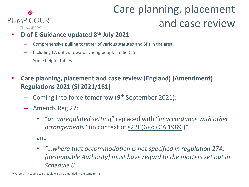#### ◈ **PUMP COURT CHAMBERS**

# Care planning, placement and case review

- **D of E Guidance updated 8th July 2021**
	- Comprehensive pulling together of various statutes and SI's in the area;
	- Including LA duties towards young people in the CJS
	- Some helpful tables
- **Care planning, placement and case review (England) (Amendment) Regulations 2021 (SI 2021/161)**
	- Coming into force tomorrow (9th September 2021);
	- Amends Reg 27:
		- "*an unregulated setting*" replaced with "*in accordance with other arrangements*" (in context of s22C(6)(d) CA 1989 )\*

and

• *"…where that accommodation is not specified in regulation 27A, [Responsible Authority] must have regard to the matters set out in Schedule 6"* 

\*Wording in heading to Schedule 6 is also amended in the same terms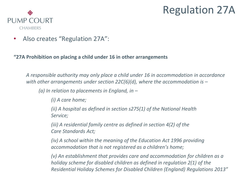## Regulation 27A



• Also creates "Regulation 27A":

**"27A Prohibition on placing a child under 16 in other arrangements**

*A responsible authority may only place a child under 16 in accommodation in accordance*  with other arrangements under section 22C(6)(d), where the accommodation is –

*(a) In relation to placements in England, in –*

*(i) A care home;*

*(ii) A hospital as defined in section s275(1) of the National Health Service;*

*(iii) A residential family centre as defined in section 4(2) of the Care Standards Act;*

*(iv) A school within the meaning of the Education Act 1996 providing accommodation that is not registered as a children's home;*

*(v) An establishment that provides care and accommodation for children as a holiday scheme for disabled children as defined in regulation 2(1) of the Residential Holiday Schemes for Disabled Children (England) Regulations 2013"*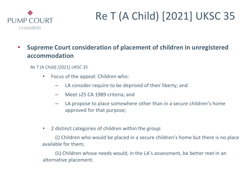

- **Supreme Court consideration of placement of children in unregistered accommodation**
	- *Re T (A Child) [2021] UKSC 35*
		- Focus of the appeal: Children who:
			- LA consider require to be deprived of their liberty; and
			- Meet s25 CA 1989 criteria; and
			- LA propose to place somewhere other than in a secure children's home approved for that purpose;
		- 2 distinct categories of children within the group:

(i) Children who would be placed in a secure children's home but there is no place available for them;

(ii) Children whose needs would, in the LA's assessment, be better met in an alternative placement.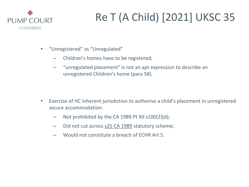

- "Unregistered" vs "Unregulated"
	- Children's homes have to be registered;
	- "unregulated placement" is not an apt expression to describe an unregistered Children's home (para 58).

- Exercise of HC inherent jurisdiction to authorise a child's placement in unregistered secure accommodation:
	- Not prohibited by the CA 1989 Pt XII s100(2)(d);
	- Did not cut across s25 CA 1989 statutory scheme;
	- Would not constitute a breach of ECHR Art 5.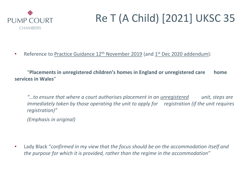

• Reference to Practice Guidance 12<sup>th</sup> November 2019 (and 1<sup>st</sup> Dec 2020 addendum):

"**Placements in unregistered children's homes in England or unregistered care home services in Wales**"

*"…to ensure that where a court authorises placement in an unregistered unit, steps are immediately taken by those operating the unit to apply for registration (if the unit requires registration)"*

*(Emphasis in original)*

• Lady Black "*confirmed in my view that the focus should be on the accommodation itself and the purpose for which it is provided, rather than the regime in the accommodation"*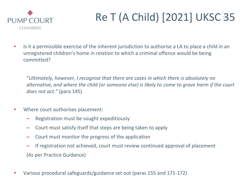

• Is it a permissible exercise of the inherent jurisdiction to authorise a LA to place a child in an unregistered children's home in relation to which a criminal offence would be being committed?

"*Ultimately, however, I recognise that there are cases in which there is absolutely no alternative, and where the child (or someone else) is likely to come to grave harm if the court does not act."* (para 145)

- Where court authorises placement:
	- Registration must be sought expeditiously
	- Court must satisfy itself that steps are being taken to apply
	- Court must monitor the progress of the application
	- If registration not achieved, court must review continued approval of placement (As per Practice Guidance)
- Various procedural safeguards/guidance set out (paras 155 and 171-172)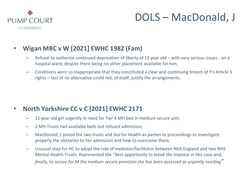

## DOLS – MacDonald, J

### • **Wigan MBC v W [2021] EWHC 1982 (Fam)**

- Refusal to authorise continued deprivation of liberty of 12 year old with very serious issues on a hospital ward, despite there being no other placement available for him;
- Conditions were so inappropriate that they constituted a clear and continuing breach of Y's Article 5 rights – fact of no alternative could not, of itself, justify the arrangements.

### • **North Yorkshire CC v C [2021] EWHC 2171**

- 15 year old girl urgently in need for Tier 4 MH bed in medium secure unit;
- 2 MH Trusts had available beds but refused admission;
- MacDonald, J joined the two trusts and Sos for Health as parties to proceedings to investigate properly the obstacles to her admission and how to overcome them;
- Unusual step for HC to adopt the role of mediator/facilitator between NHS England and two NHS Mental Health Trusts. Represented the "*best opportunity to break the impasse in this case and, finally, to secure for M the medium secure provision she has been assessed as urgently needing"*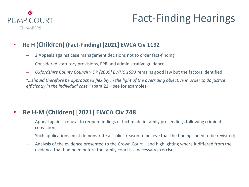

# Fact-Finding Hearings

- **Re H (Children) (Fact-Finding) [2021] EWCA Civ 1192**
	- 2 Appeals against case management decisions not to order fact-finding
	- Considered statutory provisions, FPR and administrative guidance;
	- *Oxfordshire County Council v DP [2005] EWHC 1593* remains good law but the factors identified:

"*…should therefore be approached flexibly in the light of the overriding objective in order to do justice efficiently in the individual case."* (para 22 – see for examples)

### • **Re H-M (Children) [2021] EWCA Civ 748**

- Appeal against refusal to reopen findings of fact made in family proceedings following criminal conviction;
- Such applications must demonstrate a "solid" reason to believe that the findings need to be revisited;
- Analysis of the evidence presented to the Crown Court and highlighting where it differed from the evidence that had been before the family court is a necessary exercise.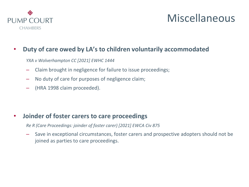

## Miscellaneous

### • **Duty of care owed by LA's to children voluntarily accommodated**

*YXA v Wolverhampton CC [2021] EWHC 1444*

- Claim brought in negligence for failure to issue proceedings;
- No duty of care for purposes of negligence claim;
- (HRA 1998 claim proceeded).

#### • **Joinder of foster carers to care proceedings**

*Re R (Care Proceedings: joinder of foster carer) [2021] EWCA Civ 875*

– Save in exceptional circumstances, foster carers and prospective adopters should not be joined as parties to care proceedings.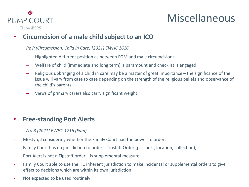

## Miscellaneous

### • **Circumcision of a male child subject to an ICO**

#### *Re P (Circumcision: Child in Care) [2021] EWHC 1616*

- Highlighted different position as between FGM and male circumcision;
- Welfare of child (immediate and long term) is paramount and checklist is engaged;
- Religious upbringing of a child in care may be a matter of great importance the significance of the issue will vary from case to case depending on the strength of the religious beliefs and observance of the child's parents;
- Views of primary carers also carry significant weight.

#### • **Free-standing Port Alerts**

- *A v B [2021] EWHC 1716 (Fam)*
- Mostyn, J considering whether the Family Court had the power to order;
- Family Court has no jurisdiction to order a Tipstaff Order (passport, location, collection);
- Port Alert is not a Tipstaff order is supplemental measure;
- Family Court able to use the HC inherent jurisdiction to make incidental or supplemental orders to give effect to decisions which are within its own jurisdiction;
- Not expected to be used routinely.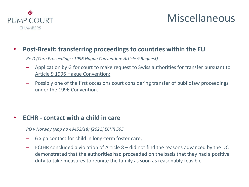

## Miscellaneous

#### • **Post-Brexit: transferring proceedings to countries within the EU**

*Re D (Care Proceedings: 1996 Hague Convention: Article 9 Request)*

- Application by G for court to make request to Swiss authorities for transfer pursuant to Article 9 1996 Hague Convention;
- Possibly one of the first occasions court considering transfer of public law proceedings under the 1996 Convention.

### • **ECHR - contact with a child in care**

*RO v Norway (App no 49452/18) [2021] ECHR 595*

- 6 x pa contact for child in long-term foster care;
- ECtHR concluded a violation of Article 8 did not find the reasons advanced by the DC demonstrated that the authorities had proceeded on the basis that they had a positive duty to take measures to reunite the family as soon as reasonably feasible.